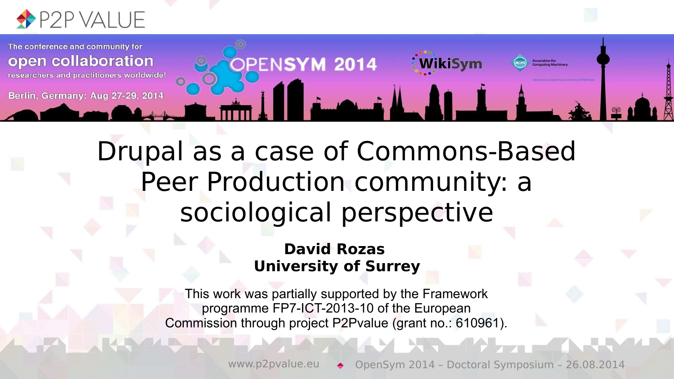

The conference and community for **PENSYM 2014** open collaboration WikiSym researchers and practitioners worldwide! Berlin, Germany: Aug 27-29, 2014

> Drupal as a case of Commons-Based Peer Production community: a sociological perspective

#### **David Rozas University of Surrey**

This work was partially supported by the Framework programme FP7-ICT-2013-10 of the European Commission through project P2Pvalue (grant no.: 610961).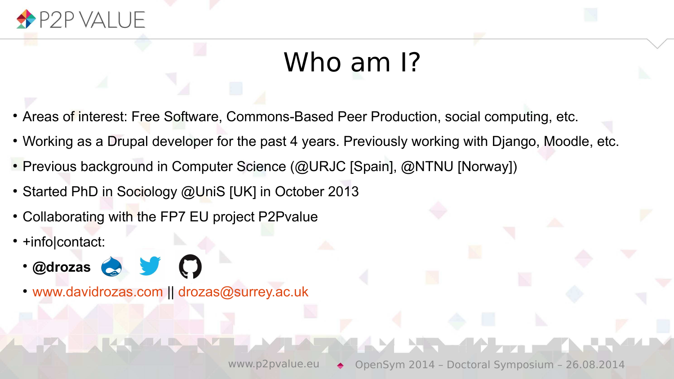

#### Who am I?

- Areas of interest: Free Software, Commons-Based Peer Production, social computing, etc.
- Working as a Drupal developer for the past 4 years. Previously working with Django, Moodle, etc.
- Previous background in Computer Science (@URJC [Spain], @NTNU [Norway])
- Started PhD in Sociology @UniS [UK] in October 2013
- Collaborating with the FP7 EU project P2Pvalue
- +info|contact:
	- S J O ● **@drozas**
	- [www.davidrozas.com](http://www.davidrozas.com/) || [drozas@surrey.ac.uk](mailto:drozas@surrey.ac.uk)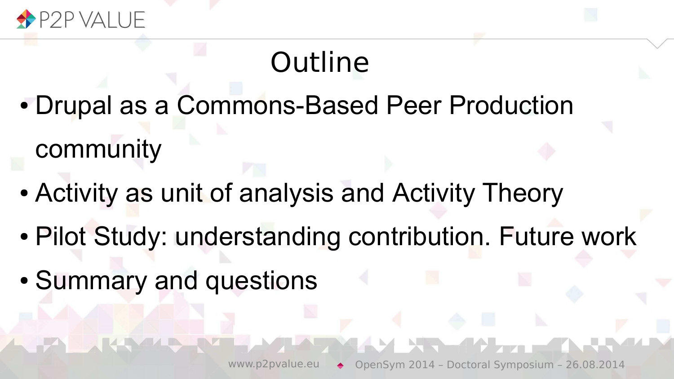

### **Outline**

- Drupal as a Commons-Based Peer Production community
- Activity as unit of analysis and Activity Theory
- Pilot Study: understanding contribution. Future work
- Summary and questions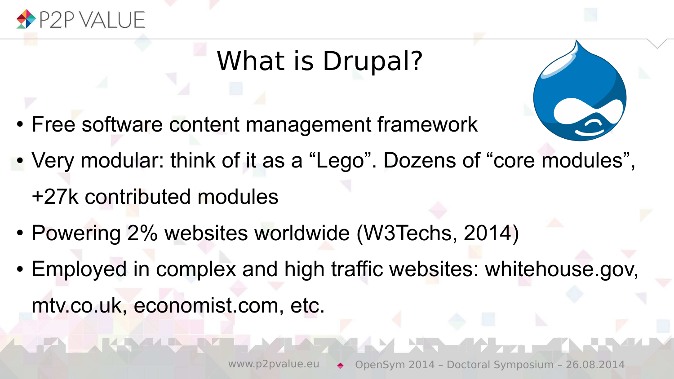

### What is Drupal?

- Free software content management framework
- Very modular: think of it as a "Lego". Dozens of "core modules", +27k contributed modules
- Powering 2% websites worldwide (W3Techs, 2014)
- Employed in complex and high traffic websites: whitehouse.gov, mtv.co.uk, economist.com, etc.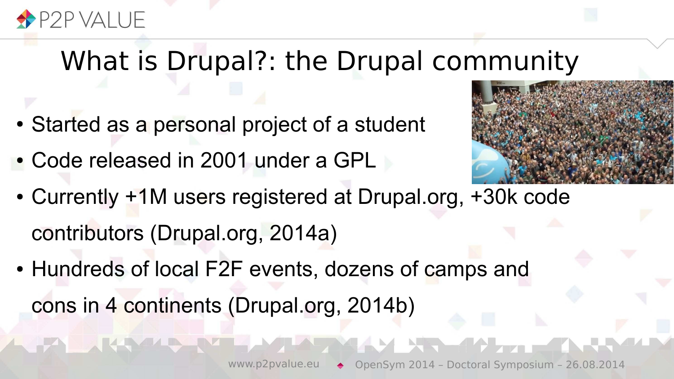

#### What is Drupal?: the Drupal community

- Started as a personal project of a student
- Code released in 2001 under a GPL



- Currently +1M users registered at Drupal.org, +30k code contributors (Drupal.org, 2014a)
- Hundreds of local F2F events, dozens of camps and cons in 4 continents (Drupal.org, 2014b)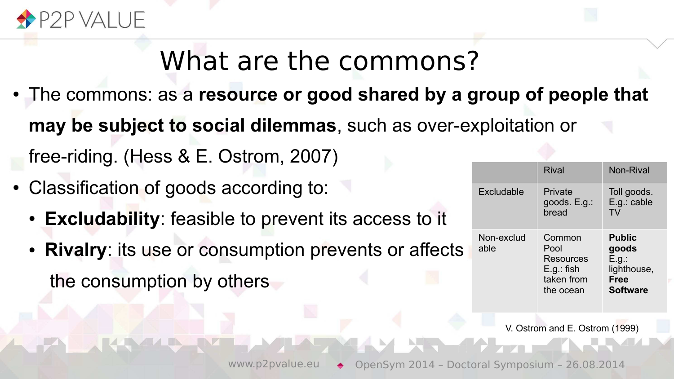

### What are the commons?

- The commons: as a **resource or good shared by a group of people that may be subject to social dilemmas**, such as over-exploitation or free-riding. (Hess & E. Ostrom, 2007)
- Classification of goods according to:
	- **Excludability**: feasible to prevent its access to it
	- **Rivalry**: its use or consumption prevents or affects the consumption by others

|  |                    | Rival                                                                  | Non-Rival                                                                        |
|--|--------------------|------------------------------------------------------------------------|----------------------------------------------------------------------------------|
|  | Excludable         | Private<br>goods. E.g.:<br>bread                                       | Toll goods.<br>E.g.: cable<br>T٧                                                 |
|  | Non-exclud<br>able | Common<br>Pool<br>Resources<br>$E.g.:$ fish<br>taken from<br>the ocean | <b>Public</b><br>goods<br>E.g.:<br>lighthouse,<br><b>Free</b><br><b>Software</b> |

V. Ostrom and E. Ostrom (1999)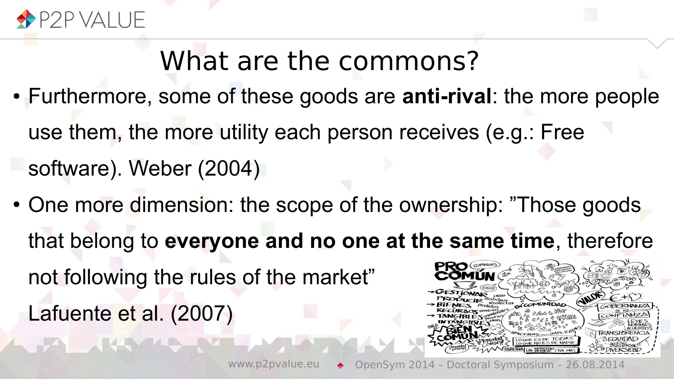

### What are the commons?

- Furthermore, some of these goods are **anti-rival**: the more people use them, the more utility each person receives (e.g.: Free software). Weber (2004)
- One more dimension: the scope of the ownership: "Those goods that belong to **everyone and no one at the same time**, therefore not following the rules of the market" Lafuente et al. (2007)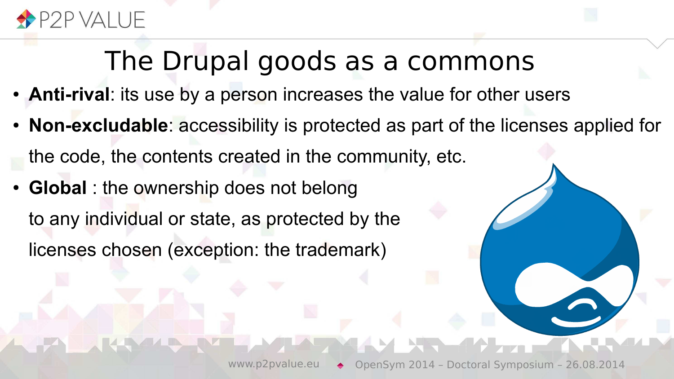

### The Drupal goods as a commons

- **Anti-rival**: its use by a person increases the value for other users
- **Non-excludable**: accessibility is protected as part of the licenses applied for the code, the contents created in the community, etc.
- **Global** : the ownership does not belong to any individual or state, as protected by the licenses chosen (exception: the trademark)

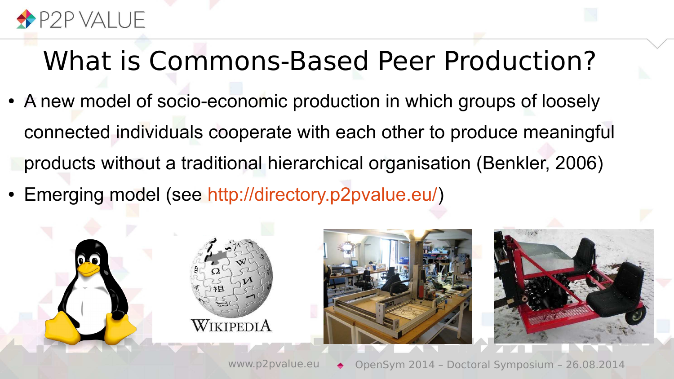

### What is Commons-Based Peer Production?

- A new model of socio-economic production in which groups of loosely connected individuals cooperate with each other to produce meaningful products without a traditional hierarchical organisation (Benkler, 2006)
- Emerging model (see [http://directory.p2pvalue.eu/\)](http://directory.p2pvalue.eu/)

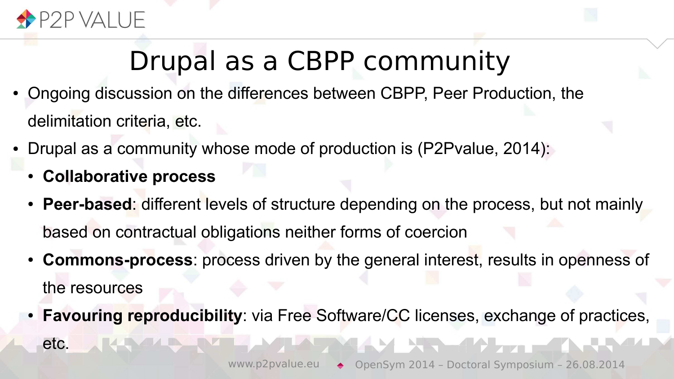

### Drupal as a CBPP community

- Ongoing discussion on the differences between CBPP, Peer Production, the delimitation criteria, etc.
- Drupal as a community whose mode of production is (P2Pvalue, 2014):
	- **Collaborative process**
	- **Peer-based:** different levels of structure depending on the process, but not mainly based on contractual obligations neither forms of coercion
	- **Commons-process**: process driven by the general interest, results in openness of the resources
	- **Favouring reproducibility**: via Free Software/CC licenses, exchange of practices, etc.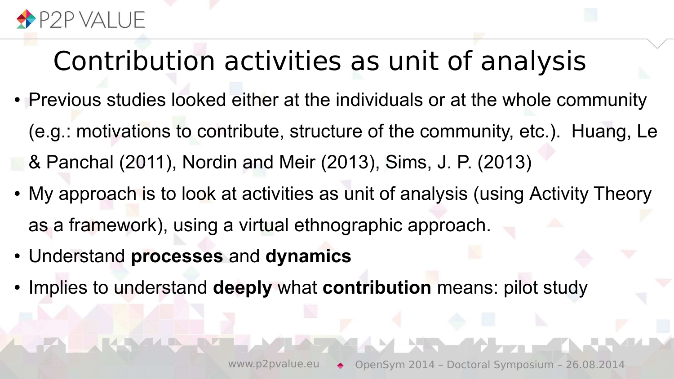

### Contribution activities as unit of analysis

- Previous studies looked either at the individuals or at the whole community (e.g.: motivations to contribute, structure of the community, etc.). Huang, Le & Panchal (2011), Nordin and Meir (2013), Sims, J. P. (2013)
- My approach is to look at activities as unit of analysis (using Activity Theory as a framework), using a virtual ethnographic approach.
- Understand **processes** and **dynamics**
- Implies to understand **deeply** what **contribution** means: pilot study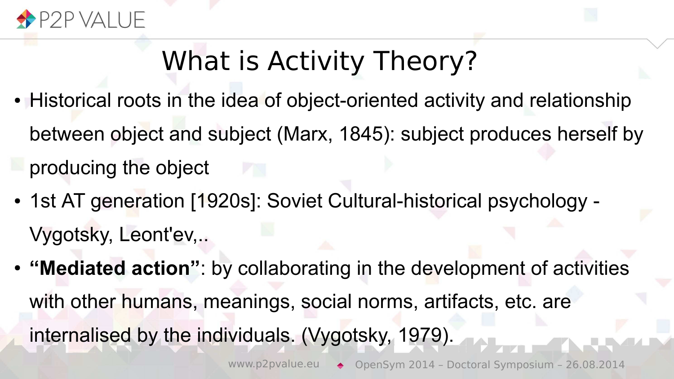

### What is Activity Theory?

- Historical roots in the idea of object-oriented activity and relationship between object and subject (Marx, 1845): subject produces herself by producing the object
- 1st AT generation [1920s]: Soviet Cultural-historical psychology -Vygotsky, Leont'ev,..
- **"Mediated action"**: by collaborating in the development of activities with other humans, meanings, social norms, artifacts, etc. are internalised by the individuals. (Vygotsky, 1979).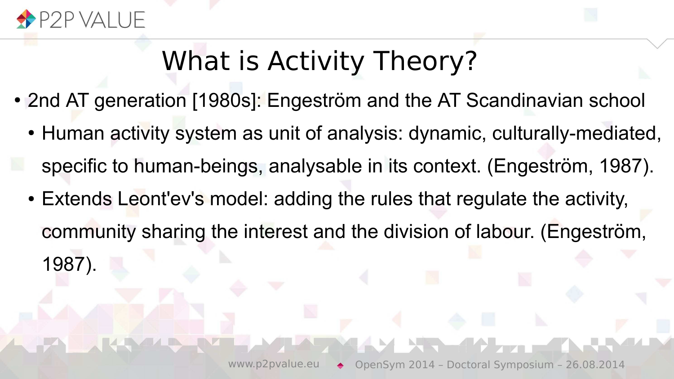

### What is Activity Theory?

- 2nd AT generation [1980s]: Engeström and the AT Scandinavian school
	- Human activity system as unit of analysis: dynamic, culturally-mediated, specific to human-beings, analysable in its context. (Engeström, 1987).
	- Extends Leont'ev's model: adding the rules that regulate the activity, community sharing the interest and the division of labour. (Engeström, 1987).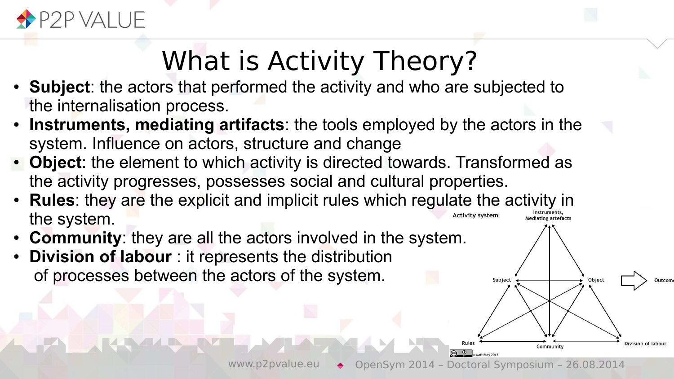

## What is Activity Theory?

- **Subject**: the actors that performed the activity and who are subjected to the internalisation process.
- **Instruments, mediating artifacts**: the tools employed by the actors in the system. Influence on actors, structure and change
- Object: the element to which activity is directed towards. Transformed as the activity progresses, possesses social and cultural properties.
- **Rules**: they are the explicit and implicit rules which regulate the activity in the system.
- **Community:** they are all the actors involved in the system.
- **Division of labour**: it represents the distribution of processes between the actors of the system.

Subject

Object

**Community** 

Division of labou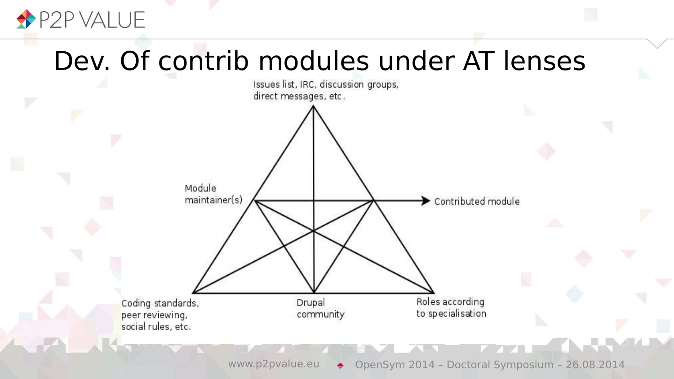

### Dev. Of contrib modules under AT lenses



www.p2pvalue.eu → OpenSym 2014 – Doctoral Symposium – 26.08.2014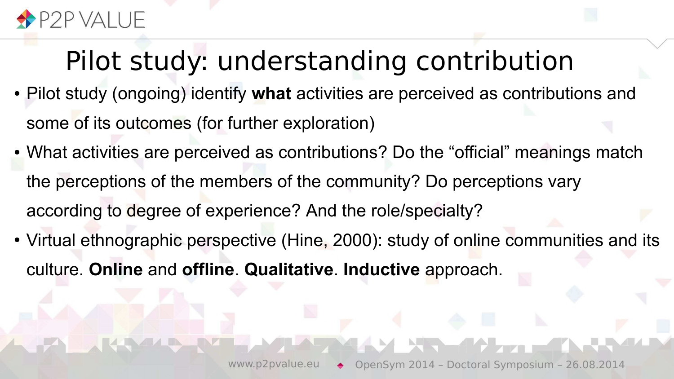

### Pilot study: understanding contribution

- Pilot study (ongoing) identify what activities are perceived as contributions and some of its outcomes (for further exploration)
- What activities are perceived as contributions? Do the "official" meanings match the perceptions of the members of the community? Do perceptions vary according to degree of experience? And the role/specialty?
- Virtual ethnographic perspective (Hine, 2000): study of online communities and its culture. **Online** and **offline**. **Qualitative**. **Inductive** approach.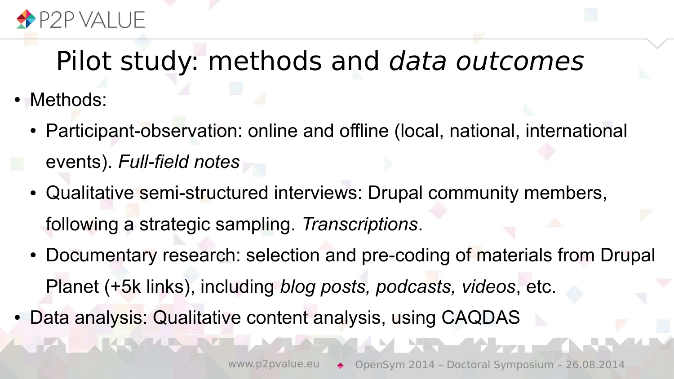

#### Pilot study: methods and data outcomes

- Methods:
	- Participant-observation: online and offline (local, national, international events). *Full-field notes*
	- Qualitative semi-structured interviews: Drupal community members, following a strategic sampling. *Transcriptions*.
	- Documentary research: selection and pre-coding of materials from Drupal Planet (+5k links), including *blog posts, podcasts, videos*, etc.
- Data analysis: Qualitative content analysis, using CAQDAS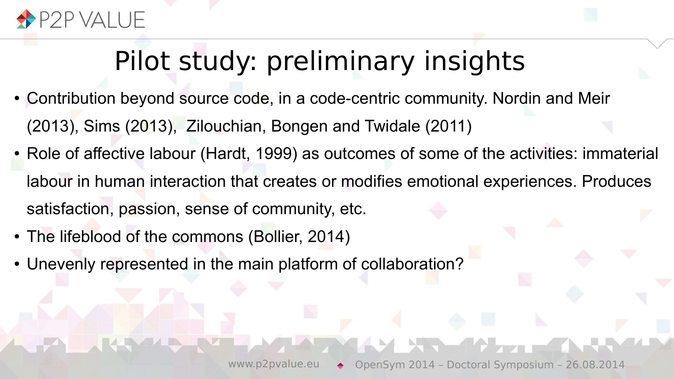

### Pilot study: preliminary insights

- Contribution beyond source code, in a code-centric community. Nordin and Meir (2013), Sims (2013), Zilouchian, Bongen and Twidale (2011)
- Role of affective labour (Hardt, 1999) as outcomes of some of the activities: immaterial labour in human interaction that creates or modifies emotional experiences. Produces satisfaction, passion, sense of community, etc.
- The lifeblood of the commons (Bollier, 2014)
- Unevenly represented in the main platform of collaboration?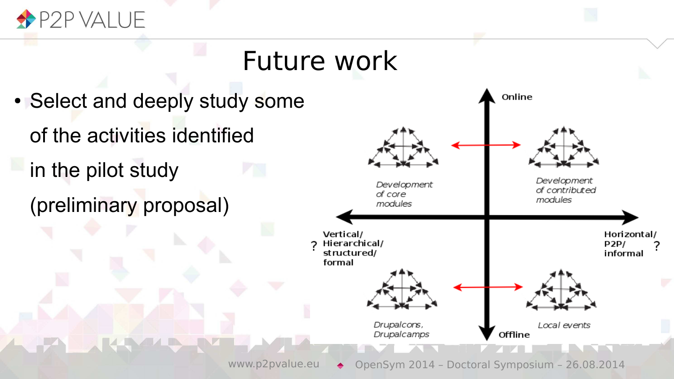

### Future work

• Select and deeply study some of the activities identified in the pilot study (preliminary proposal)

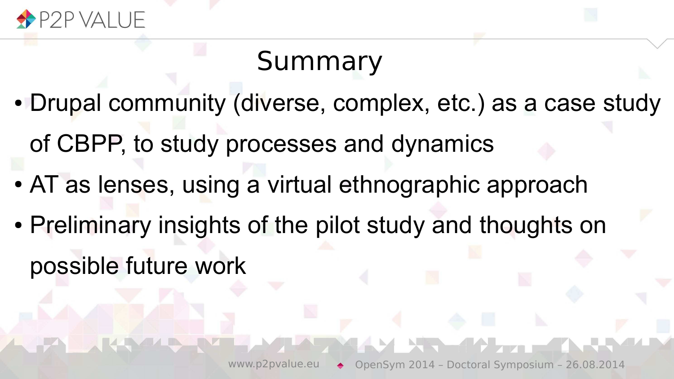

### Summary

- Drupal community (diverse, complex, etc.) as a case study of CBPP, to study processes and dynamics
- AT as lenses, using a virtual ethnographic approach
- Preliminary insights of the pilot study and thoughts on possible future work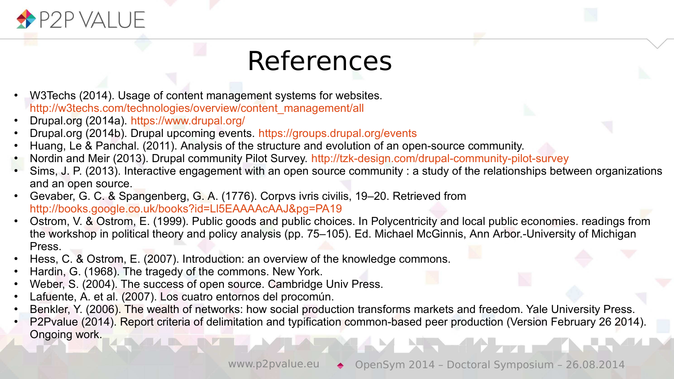

### References

- W3Techs (2014). Usage of content management systems for websites. [http://w3techs.com/technologies/overview/content\\_management/all](http://w3techs.com/technologies/overview/content_management/all)
- Drupal.org (2014a). <https://www.drupal.org/>
- Drupal.org (2014b). Drupal upcoming events. <https://groups.drupal.org/events>
- Huang, Le & Panchal. (2011). Analysis of the structure and evolution of an open-source community.
- Nordin and Meir (2013). Drupal community Pilot Survey. <http://tzk-design.com/drupal-community-pilot-survey>
- Sims, J. P. (2013). Interactive engagement with an open source community : a study of the relationships between organizations and an open source.
- Gevaber, G. C. & Spangenberg, G. A. (1776). Corpvs ivris civilis, 19–20. Retrieved from <http://books.google.co.uk/books?id=Ll5EAAAAcAAJ&pg=PA19>
- Ostrom, V. & Ostrom, E. (1999). Public goods and public choices. In Polycentricity and local public economies. readings from the workshop in political theory and policy analysis (pp. 75–105). Ed. Michael McGinnis, Ann Arbor.-University of Michigan Press.
- Hess, C. & Ostrom, E. (2007). Introduction: an overview of the knowledge commons.
- Hardin, G. (1968). The tragedy of the commons. New York.
- Weber, S. (2004). The success of open source. Cambridge Univ Press.
- Lafuente, A. et al. (2007). Los cuatro entornos del procomún.
- Benkler, Y. (2006). The wealth of networks: how social production transforms markets and freedom. Yale University Press.
- P2Pvalue (2014). Report criteria of delimitation and typification common-based peer production (Version February 26 2014). Ongoing work. **NET ALAMA**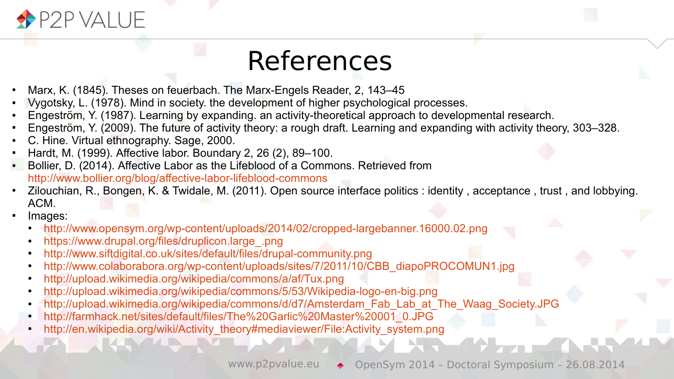

#### References

- Marx, K. (1845). Theses on feuerbach. The Marx-Engels Reader, 2, 143–45
- Vygotsky, L. (1978). Mind in society. the development of higher psychological processes.
- Engeström, Y. (1987). Learning by expanding. an activity-theoretical approach to developmental research.
- Engeström, Y. (2009). The future of activity theory: a rough draft. Learning and expanding with activity theory, 303–328.
- C. Hine. Virtual ethnography. Sage, 2000.
- Hardt, M. (1999). Affective labor. Boundary 2, 26 (2), 89–100.
- Bollier, D. (2014). Affective Labor as the Lifeblood of a Commons. Retrieved from <http://www.bollier.org/blog/affective-labor-lifeblood-commons>
- Zilouchian, R., Bongen, K. & Twidale, M. (2011). Open source interface politics : identity , acceptance , trust , and lobbying. ACM.
- Images:
	- <http://www.opensym.org/wp-content/uploads/2014/02/cropped-largebanner.16000.02.png>
	- [https://www.drupal.org/files/druplicon.large\\_.png](https://www.drupal.org/files/druplicon.large_.png)
	- <http://www.siftdigital.co.uk/sites/default/files/drupal-community.png>
	- [http://www.colaborabora.org/wp-content/uploads/sites/7/2011/10/CBB\\_diapoPROCOMUN1.jpg](http://www.colaborabora.org/wp-content/uploads/sites/7/2011/10/CBB_diapoPROCOMUN1.jpg)
	- <http://upload.wikimedia.org/wikipedia/commons/a/af/Tux.png>
	- <http://upload.wikimedia.org/wikipedia/commons/5/53/Wikipedia-logo-en-big.png>
	- [http://upload.wikimedia.org/wikipedia/commons/d/d7/Amsterdam\\_Fab\\_Lab\\_at\\_The\\_Waag\\_Society.JPG](http://upload.wikimedia.org/wikipedia/commons/d/d7/Amsterdam_Fab_Lab_at_The_Waag_Society.JPG)
	- [http://farmhack.net/sites/default/files/The%20Garlic%20Master%20001\\_0.JPG](http://farmhack.net/sites/default/files/The%20Garlic%20Master%20001_0.JPG)
	- [http://en.wikipedia.org/wiki/Activity\\_theory#mediaviewer/File:Activity\\_system.png](http://en.wikipedia.org/wiki/Activity_theory#mediaviewer/File:Activity_system.png)